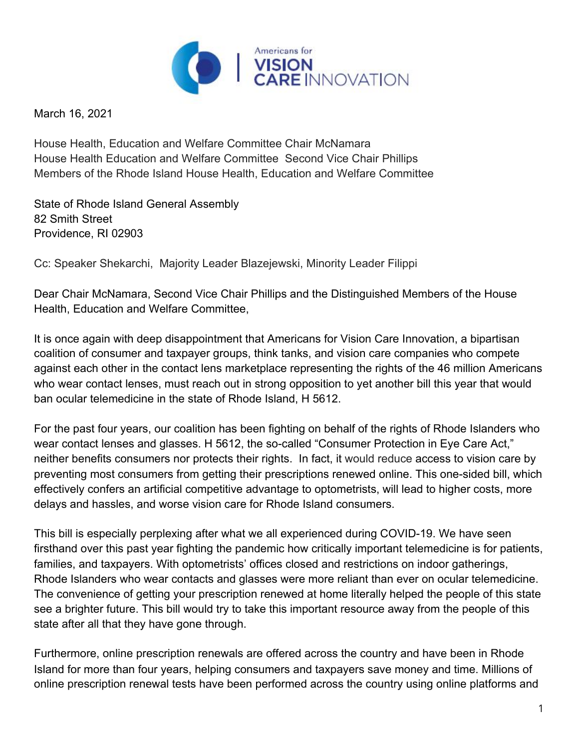

March 16, 2021

House Health, Education and Welfare Committee Chair McNamara House Health Education and Welfare Committee Second Vice Chair Phillips Members of the Rhode Island House Health, Education and Welfare Committee

State of Rhode Island General Assembly 82 Smith Street Providence, RI 02903

Cc: Speaker Shekarchi, Majority Leader Blazejewski, Minority Leader Filippi

Dear Chair McNamara, Second Vice Chair Phillips and the Distinguished Members of the House Health, Education and Welfare Committee,

It is once again with deep disappointment that Americans for Vision Care Innovation, a bipartisan coalition of consumer and taxpayer groups, think tanks, and vision care companies who compete against each other in the contact lens marketplace representing the rights of the 46 million Americans who wear contact lenses, must reach out in strong opposition to yet another bill this year that would ban ocular telemedicine in the state of Rhode Island, H 5612.

For the past four years, our coalition has been fighting on behalf of the rights of Rhode Islanders who wear contact lenses and glasses. H 5612, the so-called "Consumer Protection in Eye Care Act," neither benefits consumers nor protects their rights. In fact, it would reduce access to vision care by preventing most consumers from getting their prescriptions renewed online. This one-sided bill, which effectively confers an artificial competitive advantage to optometrists, will lead to higher costs, more delays and hassles, and worse vision care for Rhode Island consumers.

This bill is especially perplexing after what we all experienced during COVID-19. We have seen firsthand over this past year fighting the pandemic how critically important telemedicine is for patients, families, and taxpayers. With optometrists' offices closed and restrictions on indoor gatherings, Rhode Islanders who wear contacts and glasses were more reliant than ever on ocular telemedicine. The convenience of getting your prescription renewed at home literally helped the people of this state see a brighter future. This bill would try to take this important resource away from the people of this state after all that they have gone through.

Furthermore, online prescription renewals are offered across the country and have been in Rhode Island for more than four years, helping consumers and taxpayers save money and time. Millions of online prescription renewal tests have been performed across the country using online platforms and